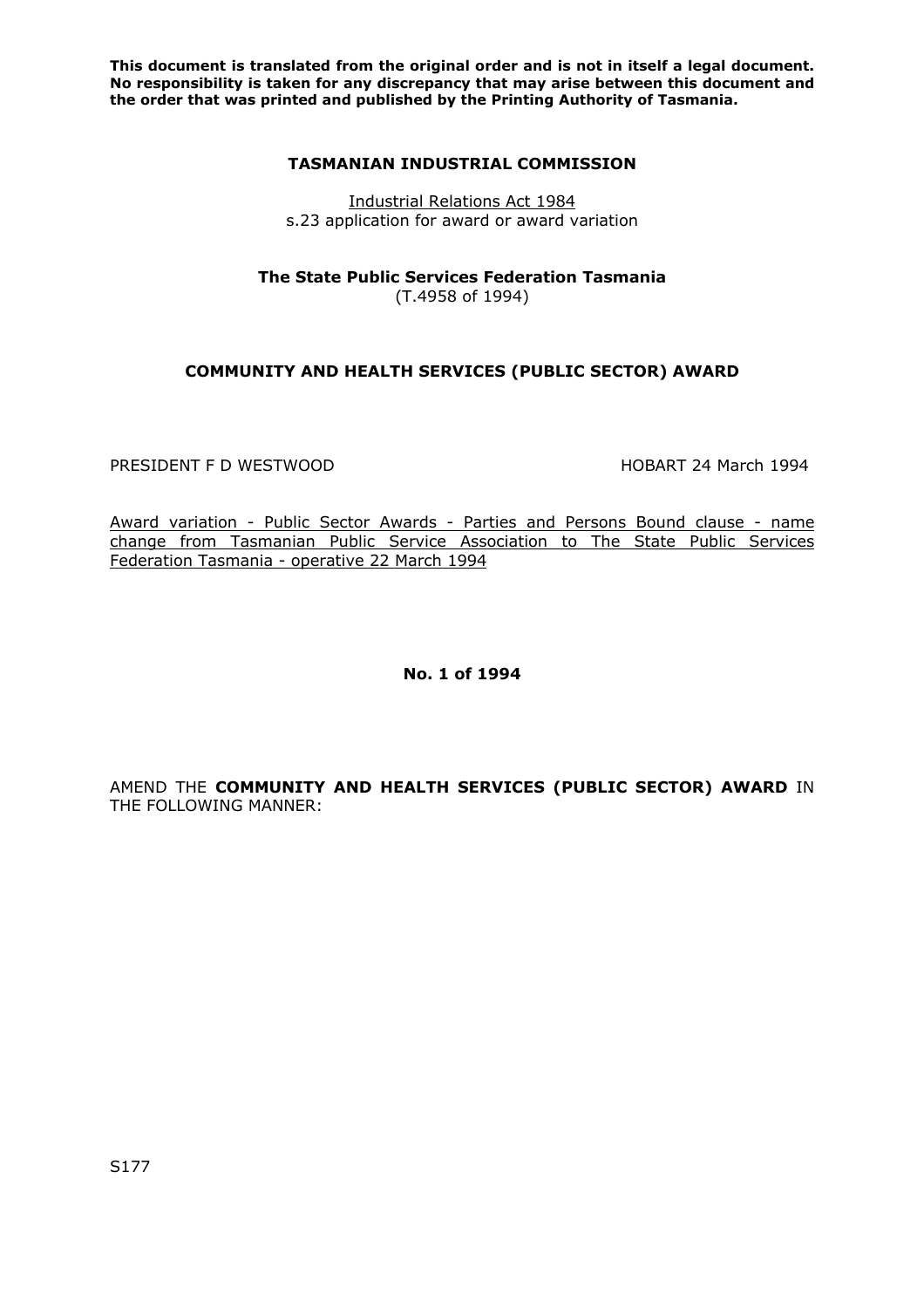**This document is translated from the original order and is not in itself a legal document. No responsibility is taken for any discrepancy that may arise between this document and the order that was printed and published by the Printing Authority of Tasmania.** 

## **TASMANIAN INDUSTRIAL COMMISSION**

Industrial Relations Act 1984 s.23 application for award or award variation

**The State Public Services Federation Tasmania** 

(T.4958 of 1994)

## **COMMUNITY AND HEALTH SERVICES (PUBLIC SECTOR) AWARD**

PRESIDENT F D WESTWOOD **A CONSTRUCT CONTROLLER THE SET OF A CONSTRUCT CONTROLLER HOBART 24 March 1994** 

Award variation - Public Sector Awards - Parties and Persons Bound clause - name change from Tasmanian Public Service Association to The State Public Services Federation Tasmania - operative 22 March 1994

**No. 1 of 1994** 

AMEND THE **COMMUNITY AND HEALTH SERVICES (PUBLIC SECTOR) AWARD** IN THE FOLLOWING MANNER: